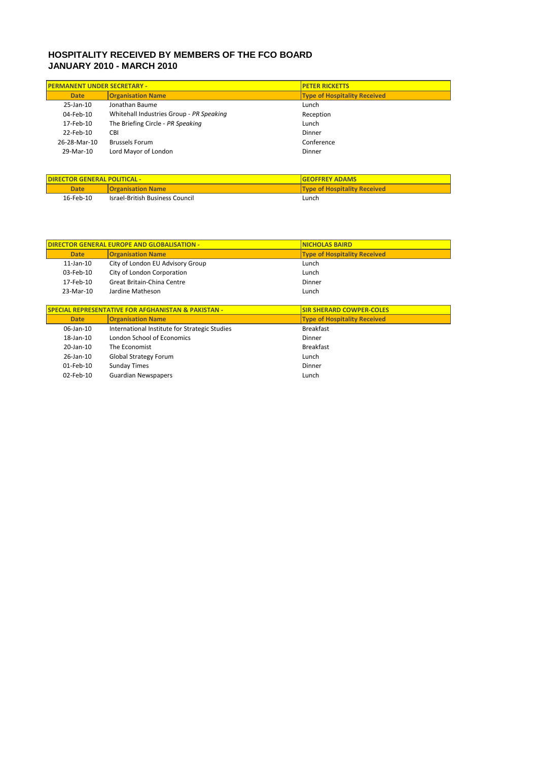## **HOSPITALITY RECEIVED BY MEMBERS OF THE FCO BOARD JANUARY 2010 - MARCH 2010**

| <b>PERMANENT UNDER SECRETARY -</b> |                                          | <b>PETER RICKETTS</b>               |
|------------------------------------|------------------------------------------|-------------------------------------|
| <b>Date</b>                        | <b>Organisation Name</b>                 | <b>Type of Hospitality Received</b> |
| 25-Jan-10                          | Jonathan Baume                           | Lunch                               |
| 04-Feb-10                          | Whitehall Industries Group - PR Speaking | Reception                           |
| 17-Feb-10                          | The Briefing Circle - PR Speaking        | Lunch                               |
| 22-Feb-10                          | <b>CBI</b>                               | Dinner                              |
| 26-28-Mar-10                       | <b>Brussels Forum</b>                    | Conference                          |
| 29-Mar-10                          | Lord Mayor of London                     | Dinner                              |
|                                    |                                          |                                     |

| <b>DIRECTOR GENERAL POLITICAL -</b> |                                        | <b>IGEOFFREY ADAMS</b>              |
|-------------------------------------|----------------------------------------|-------------------------------------|
| <b>Date</b>                         | <b>Organisation Name</b>               | <b>Type of Hospitality Received</b> |
| 16-Feb-10                           | <b>Israel-British Business Council</b> | Lunch                               |

| <b>DIRECTOR GENERAL EUROPE AND GLOBALISATION -</b>             |                                               | <b>NICHOLAS BAIRD</b>               |
|----------------------------------------------------------------|-----------------------------------------------|-------------------------------------|
| <b>Date</b>                                                    | <b>Organisation Name</b>                      | <b>Type of Hospitality Received</b> |
| $11$ -Jan- $10$                                                | City of London EU Advisory Group              | Lunch                               |
| 03-Feb-10                                                      | City of London Corporation                    | Lunch                               |
| 17-Feb-10                                                      | Great Britain-China Centre                    | Dinner                              |
| 23-Mar-10                                                      | Jardine Matheson                              | Lunch                               |
|                                                                |                                               |                                     |
| <b>SPECIAL REPRESENTATIVE FOR AFGHANISTAN &amp; PAKISTAN -</b> |                                               | <b>SIR SHERARD COWPER-COLES</b>     |
| <b>Date</b>                                                    | <b>Organisation Name</b>                      | <b>Type of Hospitality Received</b> |
| 06-Jan-10                                                      | International Institute for Strategic Studies | <b>Breakfast</b>                    |
| $18$ -Jan- $10$                                                | London School of Economics                    | Dinner                              |
| 20-Jan-10                                                      | The Economist                                 | <b>Breakfast</b>                    |
| $26$ -Jan- $10$                                                | <b>Global Strategy Forum</b>                  | Lunch                               |
| 01-Feb-10                                                      | <b>Sunday Times</b>                           | Dinner                              |
| $02$ -Feb-10                                                   | <b>Guardian Newspapers</b>                    | Lunch                               |